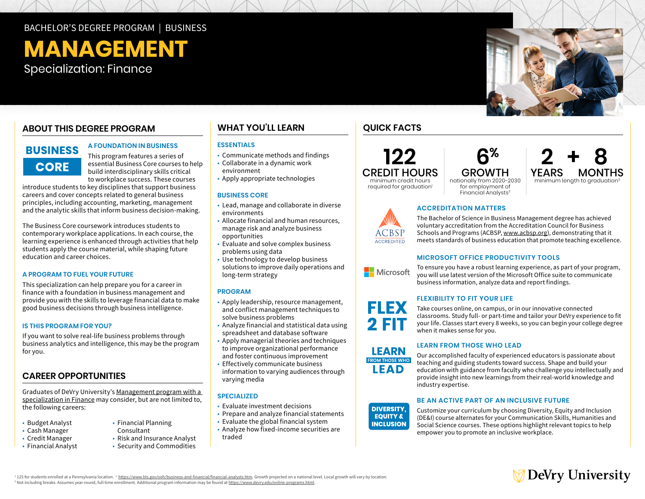## BACHELOR'S DEGREE PROGRAM | BUSINESS

# **MANAGEMENT**

Specialization: Finance

## **ABOUT THIS DEGREE PROGRAM**

# **BUSINESS CORE**

**A FOUNDATION IN BUSINESS** 

This program features a series of essential Business Core courses to help build interdisciplinary skills critical to workplace success. These courses

introduce students to key disciplines that support business careers and cover concepts related to general business principles, including accounting, marketing, management and the analytic skills that inform business decision-making.

The Business Core coursework introduces students to contemporary workplace applications. In each course, the learning experience is enhanced through activities that help students apply the course material, while shaping future education and career choices.

## **A PROGRAM TO FUEL YOUR FUTURE**

This specialization can help prepare you for a career in finance with a foundation in business management and provide you with the skills to leverage financial data to make good business decisions through business intelligence.

#### **IS THIS PROGRAM FOR YOU?**

If you want to solve real-life business problems through business analytics and intelligence, this may be the program for you.

## **CAREER OPPORTUNITIES**

Graduates of DeVry University's [Management program with a](https://www.devry.edu/online-programs/bachelors-degrees/business/finance-specialization.html)  [specialization in Finance](https://www.devry.edu/online-programs/bachelors-degrees/business/finance-specialization.html) may consider, but are not limited to, the following careers:

Consultant

• Risk and Insurance Analyst • Security and Commodities

- Budget Analyst
- Cash Manager
- Credit Manager
- Financial Analyst

• Communicate methods and findings • Collaborate in a dynamic work environment

**ESSENTIALS**

• Apply appropriate technologies

#### **BUSINESS CORE**

- Lead, manage and collaborate in diverse environments
- Allocate financial and human resources, manage risk and analyze business opportunities
- Evaluate and solve complex business problems using data
- Use technology to develop business solutions to improve daily operations and long-term strategy

#### **PROGRAM**

- Apply leadership, resource management, and conflict management techniques to solve business problems
- Analyze financial and statistical data using spreadsheet and database software
- Apply managerial theories and techniques to improve organizational performance and foster continuous improvement
- Effectively communicate business information to varying audiences through varying media

## **SPECIALIZED**

- Evaluate investment decisions
- Prepare and analyze financial statements
- Evaluate the global financial system
- Analyze how fixed-income securities are traded

## **WHAT YOU'LL LEARN QUICK FACTS**

ACCREDITED







required for graduation<sup>1</sup>

nationally from 2020-2030 Financial Analysts2

## **ACCREDITATION MATTERS**

The Bachelor of Science in Business Management degree has achieved voluntary accreditation from the Accreditation Council for Business Schools and Programs (ACBSP, www.acbsp.org), demonstrating that it meets standards of business education that promote teaching excellence.

## **MICROSOFT OFFICE PRODUCTIVITY TOOLS**

To ensure you have a robust learning experience, as part of your program, Microsoft you will use latest version of the Microsoft Office suite to communicate business information, analyze data and report findings.

## **FLEXIBILITY TO FIT YOUR LIFE**



## **LEARN FROM THOSE WHO LEAD**

education with guidance from faculty who challenge you intellectually and provide insight into new learnings from their real-world knowledge and **INCLUSION** industry expertise.Our accomplished faculty of experienced educators is passionate about teaching and guiding students toward success. Shape and build your

#### **BE AN ACTIVE PART OF AN INCLUSIVE FUTURE**

Customize your curriculum by choosing Diversity, Equity and Inclusion (DE&I) course alternates for your Communication Skills, Humanities and Social Science courses. These options highlight relevant topics to help empower you to promote an inclusive workplace.



<sup>1</sup> 125 for students enrolled at a Pennsylvania location. <sup>2</sup> <https://www.bls.gov/ooh/business-and-financial/financial-analysts.htm>. Growth projected on a national level. Local growth will vary by location. <sup>3</sup> Not including breaks. Assumes year-round, full-time enrollment. Additional program information may be found at <u>[https://www.devry.edu/](https://www.devry.edu/online-programs.html)online-programs.html</u>.

• Financial Planning



FLEX

**FROM THOSE WHO LEAD INCLUSION**

**DIVERSITY, EQUITY & INCLUSION**